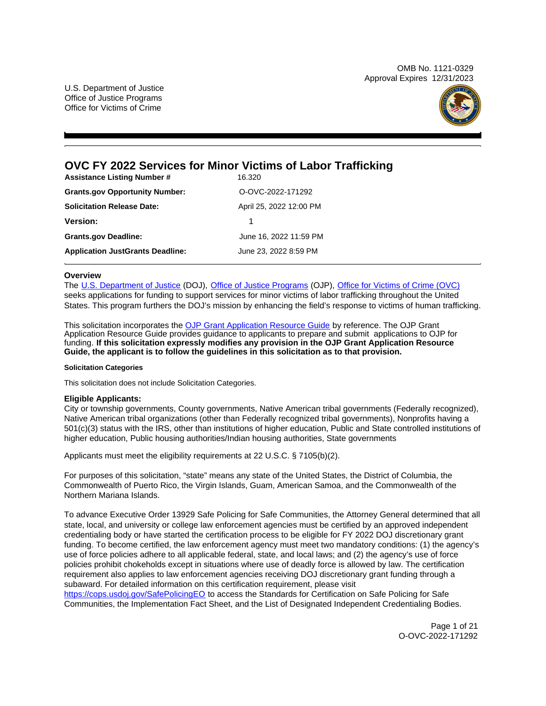OMB No. 1121-0329 Approval Expires 12/31/2023

U.S. Department of Justice Office of Justice Programs Office for Victims of Crime



# **OVC FY 2022 Services for Minor Victims of Labor Trafficking**

| <b>Assistance Listing Number #</b>      | 16.320                  |
|-----------------------------------------|-------------------------|
| <b>Grants.gov Opportunity Number:</b>   | O-OVC-2022-171292       |
| <b>Solicitation Release Date:</b>       | April 25, 2022 12:00 PM |
| <b>Version:</b>                         |                         |
| <b>Grants.gov Deadline:</b>             | June 16, 2022 11:59 PM  |
| <b>Application JustGrants Deadline:</b> | June 23, 2022 8:59 PM   |

## **Overview**

The [U.S. Department of Justice](https://usdoj.gov) (DOJ), [Office of Justice Programs](https://www.ojp.gov/) (OJP), [Office for Victims of Crime \(OVC\)](https://ovc.ojp.gov/)  seeks applications for funding to support services for minor victims of labor trafficking throughout the United States. This program furthers the DOJ's mission by enhancing the field's response to victims of human trafficking.

This solicitation incorporates the [OJP Grant Application Resource Guide](https://www.ojp.gov/funding/Apply/Resources/Grant-App-Resource-Guide.htm) by reference. The OJP Grant Application Resource Guide provides guidance to applicants to prepare and submit applications to OJP for funding. **If this solicitation expressly modifies any provision in the OJP Grant Application Resource Guide, the applicant is to follow the guidelines in this solicitation as to that provision.** 

#### **Solicitation Categories**

This solicitation does not include Solicitation Categories.

## **Eligible Applicants:**

City or township governments, County governments, Native American tribal governments (Federally recognized), Native American tribal organizations (other than Federally recognized tribal governments), Nonprofits having a 501(c)(3) status with the IRS, other than institutions of higher education, Public and State controlled institutions of higher education, Public housing authorities/Indian housing authorities, State governments

Applicants must meet the eligibility requirements at 22 U.S.C. § 7105(b)(2).

For purposes of this solicitation, "state" means any state of the United States, the District of Columbia, the Commonwealth of Puerto Rico, the Virgin Islands, Guam, American Samoa, and the Commonwealth of the Northern Mariana Islands.

To advance Executive Order 13929 Safe Policing for Safe Communities, the Attorney General determined that all state, local, and university or college law enforcement agencies must be certified by an approved independent credentialing body or have started the certification process to be eligible for FY 2022 DOJ discretionary grant funding. To become certified, the law enforcement agency must meet two mandatory conditions: (1) the agency's use of force policies adhere to all applicable federal, state, and local laws; and (2) the agency's use of force policies prohibit chokeholds except in situations where use of deadly force is allowed by law. The certification requirement also applies to law enforcement agencies receiving DOJ discretionary grant funding through a subaward. For detailed information on this certification requirement, please visit

[https://cops.usdoj.gov/SafePolicingEO](https://cops.usdoj.gov/SafePolicingEO%20) to access the Standards for Certification on Safe Policing for Safe Communities, the Implementation Fact Sheet, and the List of Designated Independent Credentialing Bodies.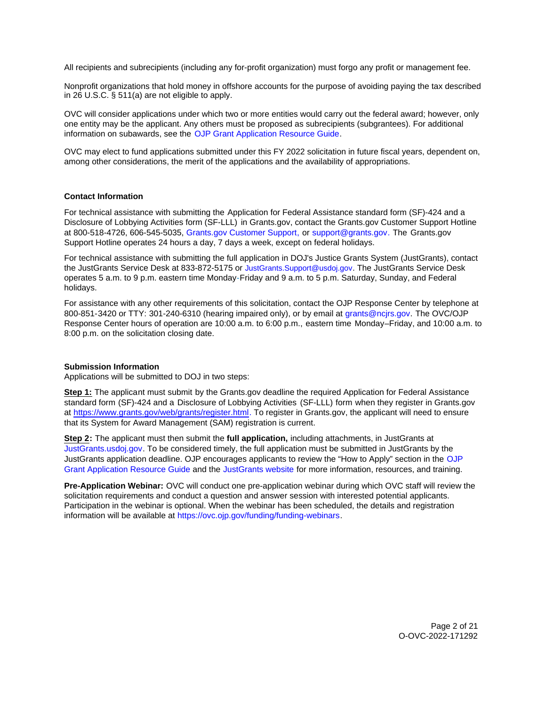<span id="page-1-0"></span>All recipients and subrecipients (including any for-profit organization) must forgo any profit or management fee.

Nonprofit organizations that hold money in offshore accounts for the purpose of avoiding paying the tax described in 26 U.S.C. § 511(a) are not eligible to apply.

OVC will consider applications under which two or more entities would carry out the federal award; however, only one entity may be the applicant. Any others must be proposed as subrecipients (subgrantees). For additional information on subawards, see the [OJP Grant Application Resource Guide.](https://www.ojp.gov/funding/Apply/Resources/Grant-App-Resource-Guide.htm)

OVC may elect to fund applications submitted under this FY 2022 solicitation in future fiscal years, dependent on, among other considerations, the merit of the applications and the availability of appropriations.

## **Contact Information**

For technical assistance with submitting the Application for Federal Assistance standard form (SF)-424 and a Disclosure of Lobbying Activities form (SF-LLL) in Grants.gov, contact the Grants.gov Customer Support Hotline at 800-518-4726, 606-545-5035, [Grants.gov Customer Support,](https://www.grants.gov/web/grants/support.html) or [support@grants.gov.](mailto:support@grants.gov) The Grants.gov Support Hotline operates 24 hours a day, 7 days a week, except on federal holidays.

For technical assistance with submitting the full application in DOJ's Justice Grants System (JustGrants), contact the JustGrants Service Desk at 833-872-5175 or [JustGrants.Support@usdoj.gov](mailto:JustGrants.Support@usdoj.gov). The JustGrants Service Desk operates 5 a.m. to 9 p.m. eastern time Monday-Friday and 9 a.m. to 5 p.m. Saturday, Sunday, and Federal holidays.

For assistance with any other requirements of this solicitation, contact the OJP Response Center by telephone at 800-851-3420 or TTY: 301-240-6310 (hearing impaired only), or by email at [grants@ncjrs.gov.](mailto:grants@ncjrs.gov) The OVC/OJP Response Center hours of operation are 10:00 a.m. to 6:00 p.m., eastern time Monday–Friday, and 10:00 a.m. to 8:00 p.m. on the solicitation closing date.

#### **Submission Information**

Applications will be submitted to DOJ in two steps:

**Step 1:** The applicant must submit by the Grants.gov deadline the required Application for Federal Assistance standard form (SF)-424 and a Disclosure of Lobbying Activities (SF-LLL) form when they register in Grants.gov at [https://www.grants.gov/web/grants/register.html.](https://www.grants.gov/web/grants/register.html) To register in [Grants.gov](https://Grants.gov), the applicant will need to ensure that its System for Award Management (SAM) registration is current.

**Step 2:** The applicant must then submit the **full application,** including attachments, in JustGrants at [JustGrants.usdoj.gov.](https://justicegrants.usdoj.gov/) To be considered timely, the full application must be submitted in JustGrants by the JustGrants application deadline. OJP encourages applicants to review the "How to Apply" section in the [OJP](https://www.ojp.gov/funding/apply/ojp-grant-application-resource-guide#apply) [Grant Application Resource Guide](https://www.ojp.gov/funding/apply/ojp-grant-application-resource-guide#apply) and the [JustGrants website](https://justicegrants.usdoj.gov/news) for more information, resources, and training.

**Pre-Application Webinar:** OVC will conduct one pre-application webinar during which OVC staff will review the solicitation requirements and conduct a question and answer session with interested potential applicants. Participation in the webinar is optional. When the webinar has been scheduled, the details and registration information will be available at [https://ovc.ojp.gov/funding/funding-webinars.](https://ovc.ojp.gov/funding/funding-webinars)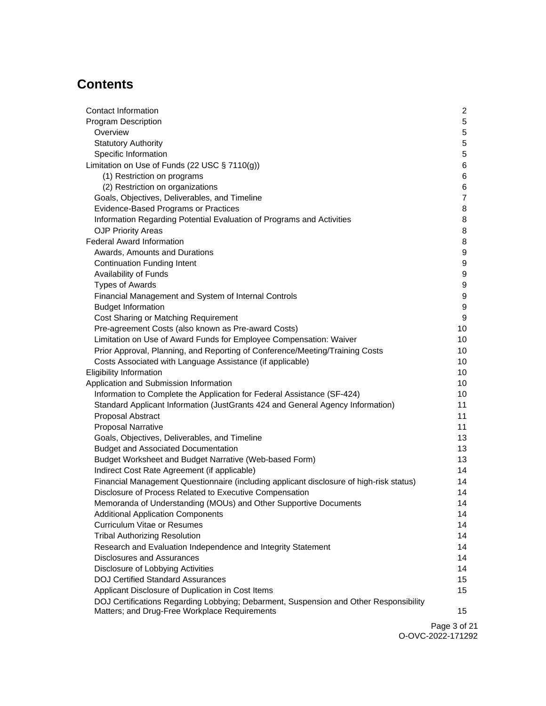# **Contents**

| Contact Information                                                                     | $\overline{2}$   |
|-----------------------------------------------------------------------------------------|------------------|
| <b>Program Description</b>                                                              | 5                |
| Overview                                                                                | 5                |
| <b>Statutory Authority</b>                                                              | $\mathbf 5$      |
| Specific Information                                                                    | $\mathbf 5$      |
| Limitation on Use of Funds (22 USC § 7110(g))                                           | 6                |
| (1) Restriction on programs                                                             | 6                |
| (2) Restriction on organizations                                                        | 6                |
| Goals, Objectives, Deliverables, and Timeline                                           | $\overline{7}$   |
| Evidence-Based Programs or Practices                                                    | 8                |
| Information Regarding Potential Evaluation of Programs and Activities                   | 8                |
| <b>OJP Priority Areas</b>                                                               | 8                |
| <b>Federal Award Information</b>                                                        | 8                |
| Awards, Amounts and Durations                                                           | 9                |
| <b>Continuation Funding Intent</b>                                                      | 9                |
| Availability of Funds                                                                   | 9                |
| <b>Types of Awards</b>                                                                  | 9                |
| Financial Management and System of Internal Controls                                    | 9                |
| <b>Budget Information</b>                                                               | $\boldsymbol{9}$ |
| Cost Sharing or Matching Requirement                                                    | 9                |
| Pre-agreement Costs (also known as Pre-award Costs)                                     | 10               |
| Limitation on Use of Award Funds for Employee Compensation: Waiver                      | 10               |
| Prior Approval, Planning, and Reporting of Conference/Meeting/Training Costs            | 10               |
| Costs Associated with Language Assistance (if applicable)                               | 10               |
| <b>Eligibility Information</b>                                                          | 10               |
| Application and Submission Information                                                  | 10               |
| Information to Complete the Application for Federal Assistance (SF-424)                 | 10               |
| Standard Applicant Information (JustGrants 424 and General Agency Information)          | 11               |
| Proposal Abstract                                                                       | 11               |
| <b>Proposal Narrative</b>                                                               | 11               |
| Goals, Objectives, Deliverables, and Timeline                                           | 13               |
| <b>Budget and Associated Documentation</b>                                              | 13               |
| Budget Worksheet and Budget Narrative (Web-based Form)                                  | 13               |
| Indirect Cost Rate Agreement (if applicable)                                            | 14               |
| Financial Management Questionnaire (including applicant disclosure of high-risk status) | 14               |
| Disclosure of Process Related to Executive Compensation                                 | 14               |
| Memoranda of Understanding (MOUs) and Other Supportive Documents                        | 14               |
| <b>Additional Application Components</b>                                                | 14               |
| <b>Curriculum Vitae or Resumes</b>                                                      | 14               |
| <b>Tribal Authorizing Resolution</b>                                                    | 14               |
| Research and Evaluation Independence and Integrity Statement                            | 14               |
| <b>Disclosures and Assurances</b>                                                       | 14               |
| Disclosure of Lobbying Activities                                                       | 14               |
| <b>DOJ Certified Standard Assurances</b>                                                | 15               |
| Applicant Disclosure of Duplication in Cost Items                                       | 15               |
| DOJ Certifications Regarding Lobbying; Debarment, Suspension and Other Responsibility   |                  |
| Matters; and Drug-Free Workplace Requirements                                           | 15               |

Page 3 of 21 O-OVC-2022-171292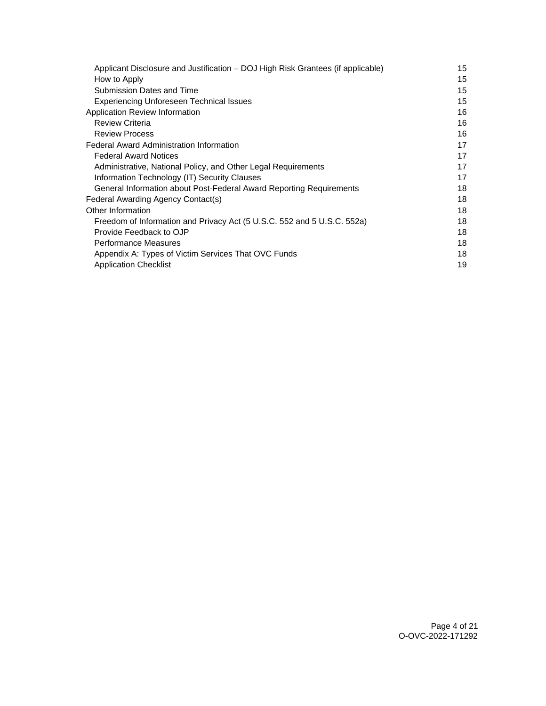| 15 |
|----|
| 15 |
| 15 |
| 15 |
| 16 |
| 16 |
| 16 |
| 17 |
| 17 |
| 17 |
| 17 |
| 18 |
| 18 |
| 18 |
| 18 |
| 18 |
| 18 |
| 18 |
| 19 |
|    |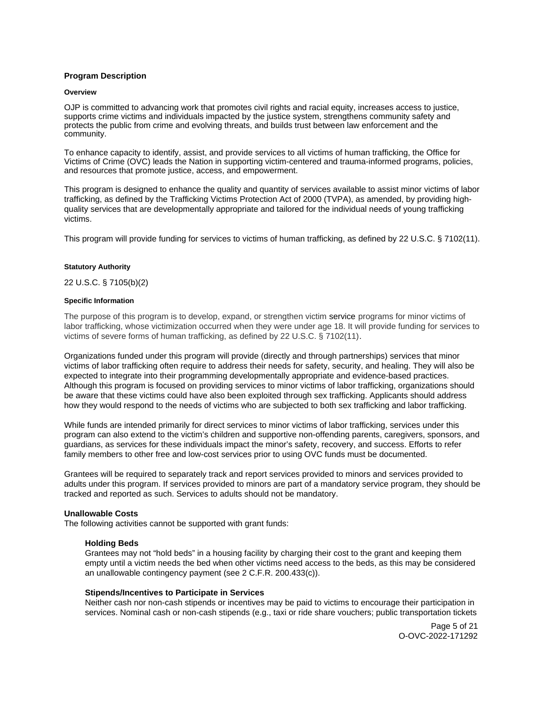## <span id="page-4-0"></span>**Program Description**

#### **Overview**

OJP is committed to advancing work that promotes civil rights and racial equity, increases access to justice, supports crime victims and individuals impacted by the justice system, strengthens community safety and protects the public from crime and evolving threats, and builds trust between law enforcement and the community.

To enhance capacity to identify, assist, and provide services to all victims of human trafficking, the Office for Victims of Crime (OVC) leads the Nation in supporting victim-centered and trauma-informed programs, policies, and resources that promote justice, access, and empowerment.

This program is designed to enhance the quality and quantity of services available to assist minor victims of labor trafficking, as defined by the Trafficking Victims Protection Act of 2000 (TVPA), as amended, by providing highquality services that are developmentally appropriate and tailored for the individual needs of young trafficking victims.

This program will provide funding for services to victims of human trafficking, as defined by 22 U.S.C. § 7102(11).

#### **Statutory Authority**

## 22 U.S.C. § 7105(b)(2)

#### **Specific Information**

The purpose of this program is to develop, expand, or strengthen victim service programs for minor victims of labor trafficking, whose victimization occurred when they were under age 18. It will provide funding for services to victims of severe forms of human trafficking, as defined by 22 U.S.C. § 7102(11).

Organizations funded under this program will provide (directly and through partnerships) services that minor victims of labor trafficking often require to address their needs for safety, security, and healing. They will also be expected to integrate into their programming developmentally appropriate and evidence-based practices. Although this program is focused on providing services to minor victims of labor trafficking, organizations should be aware that these victims could have also been exploited through sex trafficking. Applicants should address how they would respond to the needs of victims who are subjected to both sex trafficking and labor trafficking.

While funds are intended primarily for direct services to minor victims of labor trafficking, services under this program can also extend to the victim's children and supportive non-offending parents, caregivers, sponsors, and guardians, as services for these individuals impact the minor's safety, recovery, and success. Efforts to refer family members to other free and low-cost services prior to using OVC funds must be documented.

Grantees will be required to separately track and report services provided to minors and services provided to adults under this program. If services provided to minors are part of a mandatory service program, they should be tracked and reported as such. Services to adults should not be mandatory.

## **Unallowable Costs**

The following activities cannot be supported with grant funds:

#### **Holding Beds**

Grantees may not "hold beds" in a housing facility by charging their cost to the grant and keeping them empty until a victim needs the bed when other victims need access to the beds, as this may be considered an unallowable contingency payment (see 2 C.F.R. 200.433(c)).

#### **Stipends/Incentives to Participate in Services**

Neither cash nor non-cash stipends or incentives may be paid to victims to encourage their participation in services. Nominal cash or non-cash stipends (e.g., taxi or ride share vouchers; public transportation tickets

> Page 5 of 21 O-OVC-2022-171292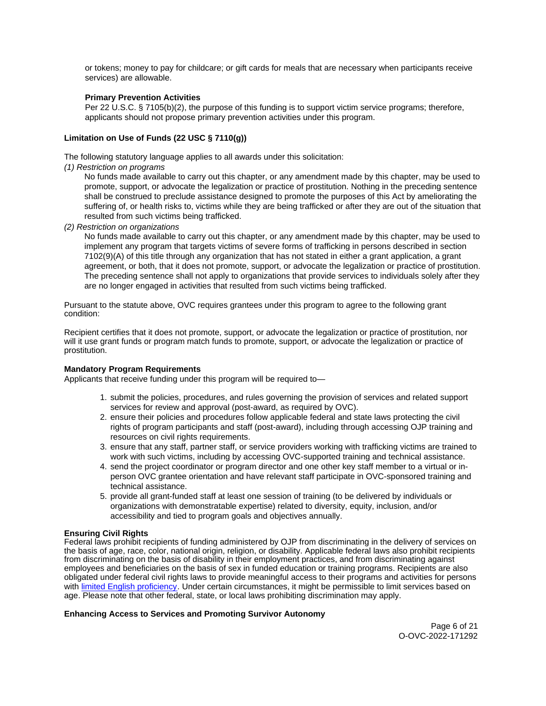<span id="page-5-0"></span>or tokens; money to pay for childcare; or gift cards for meals that are necessary when participants receive services) are allowable.

## **Primary Prevention Activities**

Per 22 U.S.C. § 7105(b)(2), the purpose of this funding is to support victim service programs; therefore, applicants should not propose primary prevention activities under this program.

## **Limitation on Use of Funds (22 USC § 7110(g))**

The following statutory language applies to all awards under this solicitation:

(1) Restriction on programs

No funds made available to carry out this chapter, or any amendment made by this chapter, may be used to promote, support, or advocate the legalization or practice of prostitution. Nothing in the preceding sentence shall be construed to preclude assistance designed to promote the purposes of this Act by ameliorating the suffering of, or health risks to, victims while they are being trafficked or after they are out of the situation that resulted from such victims being trafficked.

(2) Restriction on organizations

No funds made available to carry out this chapter, or any amendment made by this chapter, may be used to implement any program that targets victims of severe forms of trafficking in persons described in section 7102(9)(A) of this title through any organization that has not stated in either a grant application, a grant agreement, or both, that it does not promote, support, or advocate the legalization or practice of prostitution. The preceding sentence shall not apply to organizations that provide services to individuals solely after they are no longer engaged in activities that resulted from such victims being trafficked.

Pursuant to the statute above, OVC requires grantees under this program to agree to the following grant condition:

Recipient certifies that it does not promote, support, or advocate the legalization or practice of prostitution, nor will it use grant funds or program match funds to promote, support, or advocate the legalization or practice of prostitution.

## **Mandatory Program Requirements**

Applicants that receive funding under this program will be required to—

- 1. submit the policies, procedures, and rules governing the provision of services and related support services for review and approval (post-award, as required by OVC).
- 2. ensure their policies and procedures follow applicable federal and state laws protecting the civil rights of program participants and staff (post-award), including through accessing OJP training and resources on civil rights requirements.
- 3. ensure that any staff, partner staff, or service providers working with trafficking victims are trained to work with such victims, including by accessing OVC-supported training and technical assistance.
- 4. send the project coordinator or program director and one other key staff member to a virtual or inperson OVC grantee orientation and have relevant staff participate in OVC-sponsored training and technical assistance.
- 5. provide all grant-funded staff at least one session of training (to be delivered by individuals or organizations with demonstratable expertise) related to diversity, equity, inclusion, and/or accessibility and tied to program goals and objectives annually.

## **Ensuring Civil Rights**

Federal laws prohibit recipients of funding administered by OJP from discriminating in the delivery of services on the basis of age, race, color, national origin, religion, or disability. Applicable federal laws also prohibit recipients from discriminating on the basis of disability in their employment practices, and from discriminating against employees and beneficiaries on the basis of sex in funded education or training programs. Recipients are also obligated under federal civil rights laws to provide meaningful access to their programs and activities for persons with [limited English proficiency.](https://www.ojp.gov/program/civil-rights/limited-english-proficient-lep) Under certain circumstances, it might be permissible to limit services based on age. Please note that other federal, state, or local laws prohibiting discrimination may apply.

## **Enhancing Access to Services and Promoting Survivor Autonomy**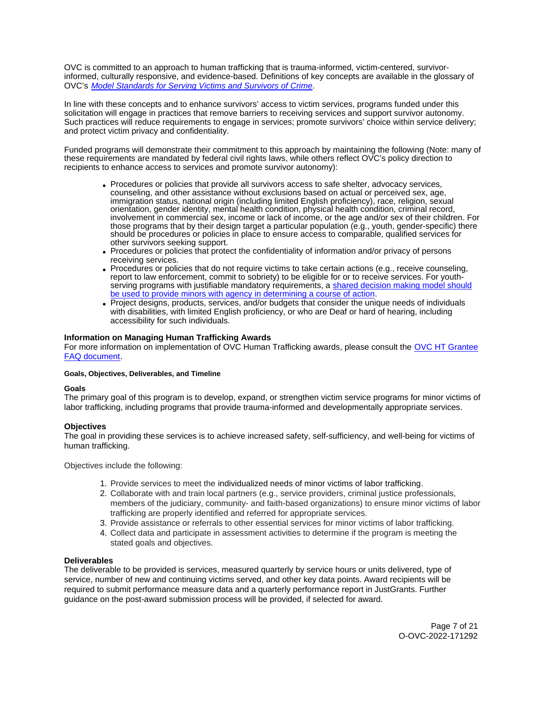<span id="page-6-0"></span>OVC is committed to an approach to human trafficking that is trauma-informed, victim-centered, survivorinformed, culturally responsive, and evidence-based. Definitions of key concepts are available in the glossary of OVC's [Model Standards for Serving Victims and Survivors of Crime](https://ovc.ojp.gov/sites/g/files/xyckuh226/files/model-standards/6/glossary.html).

In line with these concepts and to enhance survivors' access to victim services, programs funded under this solicitation will engage in practices that remove barriers to receiving services and support survivor autonomy. Such practices will reduce requirements to engage in services; promote survivors' choice within service delivery; and protect victim privacy and confidentiality.

Funded programs will demonstrate their commitment to this approach by maintaining the following (Note: many of these requirements are mandated by federal civil rights laws, while others reflect OVC's policy direction to recipients to enhance access to services and promote survivor autonomy):

- Procedures or policies that provide all survivors access to safe shelter, advocacy services, counseling, and other assistance without exclusions based on actual or perceived sex, age, immigration status, national origin (including limited English proficiency), race, religion, sexual orientation, gender identity, mental health condition, physical health condition, criminal record, involvement in commercial sex, income or lack of income, or the age and/or sex of their children. For those programs that by their design target a particular population (e.g., youth, gender-specific) there should be procedures or policies in place to ensure access to comparable, qualified services for other survivors seeking support.
- Procedures or policies that protect the confidentiality of information and/or privacy of persons receiving services.
- Procedures or policies that do not require victims to take certain actions (e.g., receive counseling, report to law enforcement, commit to sobriety) to be eligible for or to receive services. For youthserving programs with justifiable mandatory requirements, a [shared decision making model should](https://www.acf.hhs.gov/sites/default/files/documents/fysb/acf_issuebrief_htprevention_10202020_final_508.pdf)  [be used to provide minors with agency in determining a course of action.](https://www.acf.hhs.gov/sites/default/files/documents/fysb/acf_issuebrief_htprevention_10202020_final_508.pdf)
- Project designs, products, services, and/or budgets that consider the unique needs of individuals with disabilities, with limited English proficiency, or who are Deaf or hard of hearing, including accessibility for such individuals.

## **Information on Managing Human Trafficking Awards**

For more information on implementation of OVC Human Trafficking awards, please consult the [OVC HT Grantee](https://ovc.ojp.gov/program/human-trafficking/ovc-human-trafficking-program-faqs)  [FAQ document.](https://ovc.ojp.gov/program/human-trafficking/ovc-human-trafficking-program-faqs)

## **Goals, Objectives, Deliverables, and Timeline**

## **Goals**

The primary goal of this program is to develop, expand, or strengthen victim service programs for minor victims of labor trafficking, including programs that provide trauma-informed and developmentally appropriate services.

## **Objectives**

The goal in providing these services is to achieve increased safety, self-sufficiency, and well-being for victims of human trafficking.

Objectives include the following:

- 1. Provide services to meet the individualized needs of minor victims of labor trafficking.
- 2. Collaborate with and train local partners (e.g., service providers, criminal justice professionals, members of the judiciary, community- and faith-based organizations) to ensure minor victims of labor trafficking are properly identified and referred for appropriate services.
- 3. Provide assistance or referrals to other essential services for minor victims of labor trafficking.
- 4. Collect data and participate in assessment activities to determine if the program is meeting the stated goals and objectives.

## **Deliverables**

The deliverable to be provided is services, measured quarterly by service hours or units delivered, type of service, number of new and continuing victims served, and other key data points. Award recipients will be required to submit performance measure data and a quarterly performance report in JustGrants. Further guidance on the post-award submission process will be provided, if selected for award.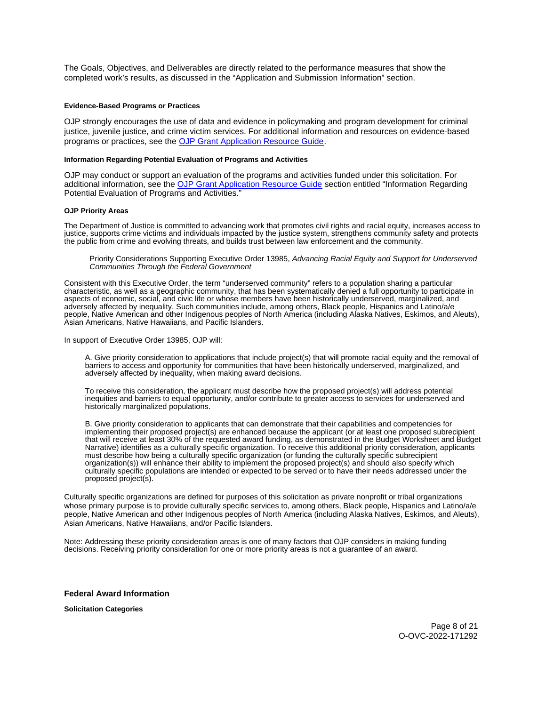<span id="page-7-0"></span>The Goals, Objectives, and Deliverables are directly related to the performance measures that show the completed work's results, as discussed in the "Application and Submission Information" section.

#### **Evidence-Based Programs or Practices**

OJP strongly encourages the use of data and evidence in policymaking and program development for criminal justice, juvenile justice, and crime victim services. For additional information and resources on evidence-based programs or practices, see the [OJP Grant Application Resource Guide.](https://www.ojp.gov/funding/apply/ojp-grant-application-resource-guide#evidence-based)

#### **Information Regarding Potential Evaluation of Programs and Activities**

OJP may conduct or support an evaluation of the programs and activities funded under this solicitation. For additional information, see the [OJP Grant Application Resource Guide](https://www.ojp.gov/funding/apply/ojp-grant-application-resource-guide#potential-evaluation) section entitled "Information Regarding Potential Evaluation of Programs and Activities."

#### **OJP Priority Areas**

The Department of Justice is committed to advancing work that promotes civil rights and racial equity, increases access to justice, supports crime victims and individuals impacted by the justice system, strengthens community safety and protects the public from crime and evolving threats, and builds trust between law enforcement and the community.

Priority Considerations Supporting Executive Order 13985, Advancing Racial Equity and Support for Underserved Communities Through the Federal Government

Consistent with this Executive Order, the term "underserved community" refers to a population sharing a particular characteristic, as well as a geographic community, that has been systematically denied a full opportunity to participate in aspects of economic, social, and civic life or whose members have been historically underserved, marginalized, and adversely affected by inequality. Such communities include, among others, Black people, Hispanics and Latino/a/e people, Native American and other Indigenous peoples of North America (including Alaska Natives, Eskimos, and Aleuts), Asian Americans, Native Hawaiians, and Pacific Islanders.

In support of Executive Order 13985, OJP will:

A. Give priority consideration to applications that include project(s) that will promote racial equity and the removal of barriers to access and opportunity for communities that have been historically underserved, marginalized, and adversely affected by inequality, when making award decisions.

To receive this consideration, the applicant must describe how the proposed project(s) will address potential inequities and barriers to equal opportunity, and/or contribute to greater access to services for underserved and historically marginalized populations.

B. Give priority consideration to applicants that can demonstrate that their capabilities and competencies for implementing their proposed project(s) are enhanced because the applicant (or at least one proposed subrecipient that will receive at least 30% of the requested award funding, as demonstrated in the Budget Worksheet and Budget Narrative) identifies as a culturally specific organization. To receive this additional priority consideration, applicants must describe how being a culturally specific organization (or funding the culturally specific subrecipient organization(s)) will enhance their ability to implement the proposed project(s) and should also specify which culturally specific populations are intended or expected to be served or to have their needs addressed under the proposed project(s).

Culturally specific organizations are defined for purposes of this solicitation as private nonprofit or tribal organizations whose primary purpose is to provide culturally specific services to, among others, Black people, Hispanics and Latino/a/e people, Native American and other Indigenous peoples of North America (including Alaska Natives, Eskimos, and Aleuts), Asian Americans, Native Hawaiians, and/or Pacific Islanders.

Note: Addressing these priority consideration areas is one of many factors that OJP considers in making funding decisions. Receiving priority consideration for one or more priority areas is not a guarantee of an award.

#### **Federal Award Information**

**Solicitation Categories** 

Page 8 of 21 O-OVC-2022-171292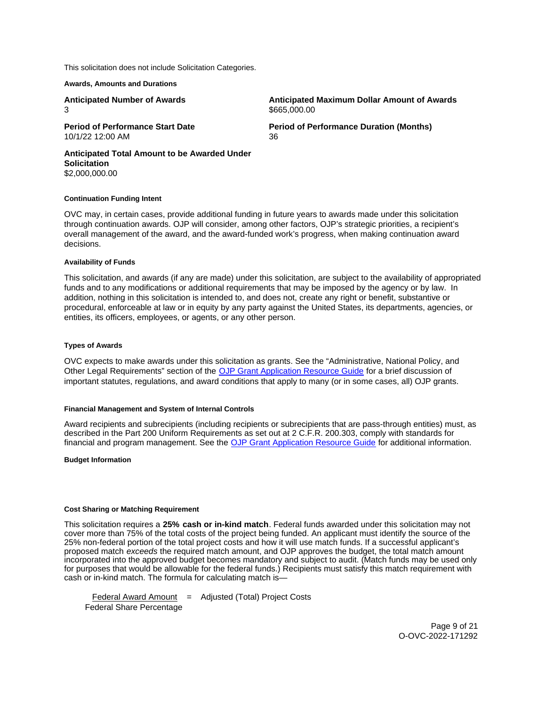<span id="page-8-0"></span>This solicitation does not include Solicitation Categories.

**Awards, Amounts and Durations** 

3

10/1/22 12:00 AM 36

**Anticipated Number of Awards Anticipated Maximum Dollar Amount of Awards**  \$[665,000.00](https://665,000.00) 

**Period of Performance Start Date**  Period of Performance Duration (Months)

**Anticipated Total Amount to be Awarded Under Solicitation**  [\\$2,000,000.00](https://2,000,000.00) 

#### **Continuation Funding Intent**

OVC may, in certain cases, provide additional funding in future years to awards made under this solicitation through continuation awards. OJP will consider, among other factors, OJP's strategic priorities, a recipient's overall management of the award, and the award-funded work's progress, when making continuation award decisions.

## **Availability of Funds**

This solicitation, and awards (if any are made) under this solicitation, are subject to the availability of appropriated funds and to any modifications or additional requirements that may be imposed by the agency or by law. In addition, nothing in this solicitation is intended to, and does not, create any right or benefit, substantive or procedural, enforceable at law or in equity by any party against the United States, its departments, agencies, or entities, its officers, employees, or agents, or any other person.

#### **Types of Awards**

OVC expects to make awards under this solicitation as grants. See the "Administrative, National Policy, and Other Legal Requirements" section of the [OJP Grant Application Resource Guide](https://ojp.gov/funding/Apply/Resources/Grant-App-Resource-Guide.htm) for a brief discussion of important statutes, regulations, and award conditions that apply to many (or in some cases, all) OJP grants.

#### **Financial Management and System of Internal Controls**

Award recipients and subrecipients (including recipients or subrecipients that are pass-through entities) must, as described in the Part 200 Uniform Requirements as set out at 2 C.F.R. 200.303, comply with standards for financial and program management. See the [OJP Grant Application Resource Guide](https://www.ojp.gov/funding/apply/ojp-grant-application-resource-guide#fm-internal-controls) for additional information.

#### **Budget Information**

## **Cost Sharing or Matching Requirement**

This solicitation requires a **25% cash or in-kind match**. Federal funds awarded under this solicitation may not cover more than 75% of the total costs of the project being funded. An applicant must identify the source of the 25% non-federal portion of the total project costs and how it will use match funds. If a successful applicant's proposed match exceeds the required match amount, and OJP approves the budget, the total match amount incorporated into the approved budget becomes mandatory and subject to audit. (Match funds may be used only for purposes that would be allowable for the federal funds.) Recipients must satisfy this match requirement with cash or in-kind match. The formula for calculating match is—

 $Federal Award Amount = Adjusted (Total) Project Costs$ Federal Share Percentage

> Page 9 of 21 O-OVC-2022-171292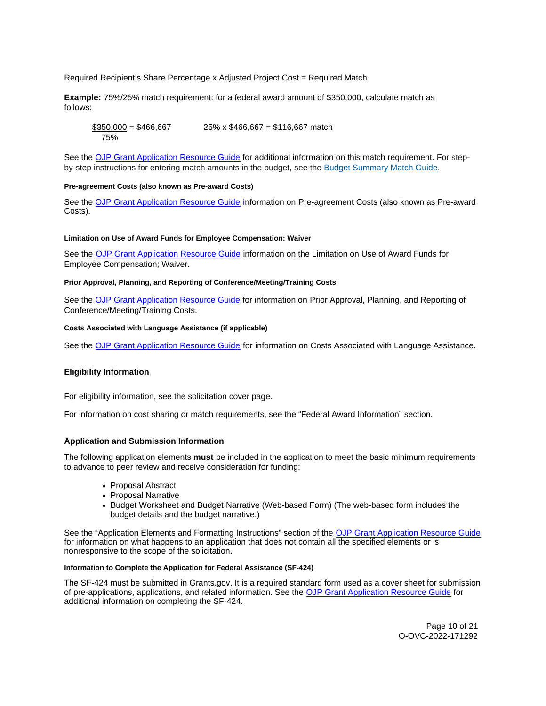<span id="page-9-0"></span>Required Recipient's Share Percentage x Adjusted Project Cost = Required Match

**Example:** 75%/25% match requirement: for a federal award amount of \$350,000, calculate match as follows:

 $$350,000 = $466,667$  25% x \$466,667 = \$116,667 match 75%

See the [OJP Grant Application Resource Guide](https://www.ojp.gov/funding/apply/ojp-grant-application-resource-guide#cost-sharing) for additional information on this match requirement. For stepby-step instructions for entering match amounts in the budget, see the [Budget Summary Match Guide.](https://justicegrants.usdoj.gov/sites/g/files/xyckuh296/files/media/document/budget-summary-match-guide.pdf)

## **Pre-agreement Costs (also known as Pre-award Costs)**

See the [OJP Grant Application Resource Guide](https://www.ojp.gov/funding/apply/ojp-grant-application-resource-guide#pre-agreement-costs) information on Pre-agreement Costs (also known as Pre-award Costs).

#### **Limitation on Use of Award Funds for Employee Compensation: Waiver**

See the [OJP Grant Application Resource Guide](https://www.ojp.gov/funding/apply/ojp-grant-application-resource-guide#limitation-use-award) information on the Limitation on Use of Award Funds for Employee Compensation; Waiver.

#### **Prior Approval, Planning, and Reporting of Conference/Meeting/Training Costs**

See the [OJP Grant Application Resource Guide](https://www.ojp.gov/funding/apply/ojp-grant-application-resource-guide#prior-approval) for information on Prior Approval, Planning, and Reporting of Conference/Meeting/Training Costs.

## **Costs Associated with Language Assistance (if applicable)**

See the [OJP Grant Application Resource Guide](https://www.ojp.gov/funding/apply/ojp-grant-application-resource-guide#costs-associated) for information on Costs Associated with Language Assistance.

#### **Eligibility Information**

For eligibility information, see the solicitation cover page.

For information on cost sharing or match requirements, see the "Federal Award Information" section.

#### **Application and Submission Information**

The following application elements **must** be included in the application to meet the basic minimum requirements to advance to peer review and receive consideration for funding:

- Proposal Abstract
- Proposal Narrative
- Budget Worksheet and Budget Narrative (Web-based Form) (The web-based form includes the budget details and the budget narrative.)

See the "Application Elements and Formatting Instructions" section of the OJP Grant Application Resource Guide for information on what happens to an application that does not contain all the specified elements or is nonresponsive to the scope of the solicitation.

## **Information to Complete the Application for Federal Assistance (SF-424)**

The SF-424 must be submitted in [Grants.gov](https://Grants.gov). It is a required standard form used as a cover sheet for submission of pre-applications, applications, and related information. See the [OJP Grant Application Resource Guide](https://www.ojp.gov/funding/Apply/Resources/Grant-App-Resource-Guide.htm) for additional information on completing the SF-424.

> Page 10 of 21 O-OVC-2022-171292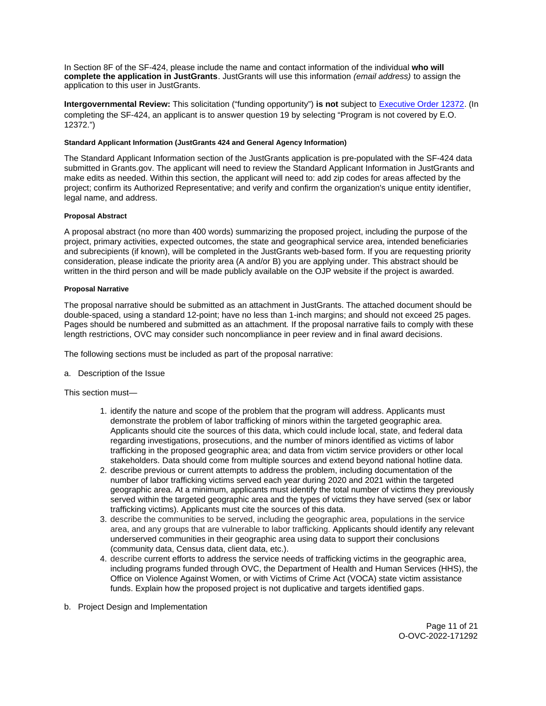<span id="page-10-0"></span>In Section 8F of the SF-424, please include the name and contact information of the individual **who will complete the application in JustGrants**. JustGrants will use this information (email address) to assign the application to this user in JustGrants.

**Intergovernmental Review:** This solicitation ("funding opportunity") **is not** subject to [Executive Order 12372.](https://www.archives.gov/federal-register/codification/executive-order/12372.html) (In completing the SF-424, an applicant is to answer question 19 by selecting "Program is not covered by E.O. 12372.")

## **Standard Applicant Information (JustGrants 424 and General Agency Information)**

The Standard Applicant Information section of the JustGrants application is pre-populated with the SF-424 data submitted in [Grants.gov.](https://Grants.gov) The applicant will need to review the Standard Applicant Information in JustGrants and make edits as needed. Within this section, the applicant will need to: add zip codes for areas affected by the project; confirm its Authorized Representative; and verify and confirm the organization's unique entity identifier, legal name, and address.

## **Proposal Abstract**

A proposal abstract (no more than 400 words) summarizing the proposed project, including the purpose of the project, primary activities, expected outcomes, the state and geographical service area, intended beneficiaries and subrecipients (if known), will be completed in the JustGrants web-based form. If you are requesting priority consideration, please indicate the priority area (A and/or B) you are applying under. This abstract should be written in the third person and will be made publicly available on the OJP website if the project is awarded.

## **Proposal Narrative**

The proposal narrative should be submitted as an attachment in JustGrants. The attached document should be double-spaced, using a standard 12-point; have no less than 1-inch margins; and should not exceed 25 pages. Pages should be numbered and submitted as an attachment. If the proposal narrative fails to comply with these length restrictions, OVC may consider such noncompliance in peer review and in final award decisions.

The following sections must be included as part of the proposal narrative:

a. Description of the Issue

This section must—

- 1. identify the nature and scope of the problem that the program will address. Applicants must demonstrate the problem of labor trafficking of minors within the targeted geographic area. Applicants should cite the sources of this data, which could include local, state, and federal data regarding investigations, prosecutions, and the number of minors identified as victims of labor trafficking in the proposed geographic area; and data from victim service providers or other local stakeholders. Data should come from multiple sources and extend beyond national hotline data.
- 2. describe previous or current attempts to address the problem, including documentation of the number of labor trafficking victims served each year during 2020 and 2021 within the targeted geographic area. At a minimum, applicants must identify the total number of victims they previously served within the targeted geographic area and the types of victims they have served (sex or labor trafficking victims). Applicants must cite the sources of this data.
- 3. describe the communities to be served, including the geographic area, populations in the service area, and any groups that are vulnerable to labor trafficking. Applicants should identify any relevant underserved communities in their geographic area using data to support their conclusions (community data, Census data, client data, etc.).
- 4. describe current efforts to address the service needs of trafficking victims in the geographic area, including programs funded through OVC, the Department of Health and Human Services (HHS), the Office on Violence Against Women, or with Victims of Crime Act (VOCA) state victim assistance funds. Explain how the proposed project is not duplicative and targets identified gaps.
- b. Project Design and Implementation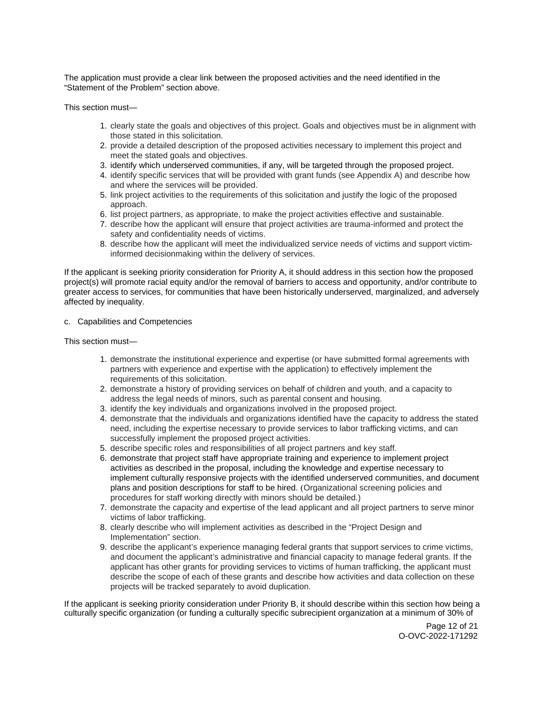The application must provide a clear link between the proposed activities and the need identified in the "Statement of the Problem" section above.

This section must—

- 1. clearly state the goals and objectives of this project. Goals and objectives must be in alignment with those stated in this solicitation.
- 2. provide a detailed description of the proposed activities necessary to implement this project and meet the stated goals and objectives.
- 3. identify which underserved communities, if any, will be targeted through the proposed project.
- 4. identify specific services that will be provided with grant funds (see Appendix A) and describe how and where the services will be provided.
- 5. link project activities to the requirements of this solicitation and justify the logic of the proposed approach.
- 6. list project partners, as appropriate, to make the project activities effective and sustainable.
- 7. describe how the applicant will ensure that project activities are trauma-informed and protect the safety and confidentiality needs of victims.
- 8. describe how the applicant will meet the individualized service needs of victims and support victiminformed decisionmaking within the delivery of services.

If the applicant is seeking priority consideration for Priority A, it should address in this section how the proposed project(s) will promote racial equity and/or the removal of barriers to access and opportunity, and/or contribute to greater access to services, for communities that have been historically underserved, marginalized, and adversely affected by inequality.

## c. Capabilities and Competencies

This section must—

- 1. demonstrate the institutional experience and expertise (or have submitted formal agreements with partners with experience and expertise with the application) to effectively implement the requirements of this solicitation.
- 2. demonstrate a history of providing services on behalf of children and youth, and a capacity to address the legal needs of minors, such as parental consent and housing.
- 3. identify the key individuals and organizations involved in the proposed project.
- 4. demonstrate that the individuals and organizations identified have the capacity to address the stated need, including the expertise necessary to provide services to labor trafficking victims, and can successfully implement the proposed project activities.
- 5. describe specific roles and responsibilities of all project partners and key staff.
- 6. demonstrate that project staff have appropriate training and experience to implement project activities as described in the proposal, including the knowledge and expertise necessary to implement culturally responsive projects with the identified underserved communities, and document plans and position descriptions for staff to be hired. (Organizational screening policies and procedures for staff working directly with minors should be detailed.)
- 7. demonstrate the capacity and expertise of the lead applicant and all project partners to serve minor victims of labor trafficking.
- 8. clearly describe who will implement activities as described in the "Project Design and Implementation" section.
- 9. describe the applicant's experience managing federal grants that support services to crime victims, and document the applicant's administrative and financial capacity to manage federal grants. If the applicant has other grants for providing services to victims of human trafficking, the applicant must describe the scope of each of these grants and describe how activities and data collection on these projects will be tracked separately to avoid duplication.

If the applicant is seeking priority consideration under Priority B, it should describe within this section how being a culturally specific organization (or funding a culturally specific subrecipient organization at a minimum of 30% of

> Page 12 of 21 O-OVC-2022-171292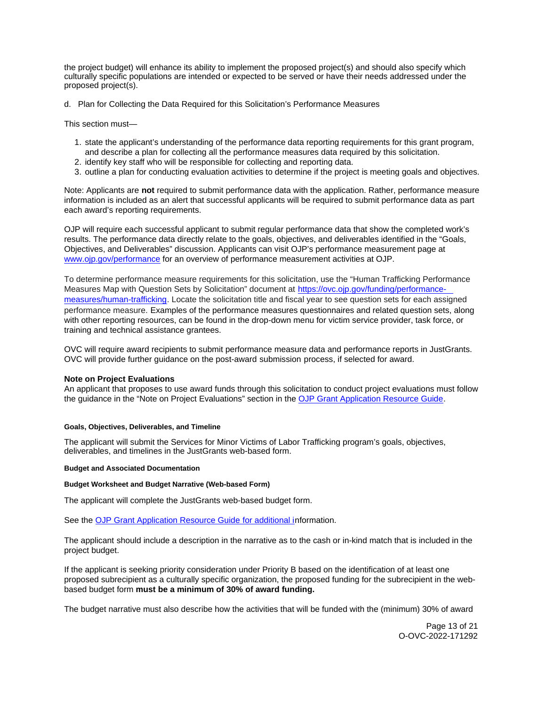<span id="page-12-0"></span>the project budget) will enhance its ability to implement the proposed project(s) and should also specify which culturally specific populations are intended or expected to be served or have their needs addressed under the proposed project(s).

d. Plan for Collecting the Data Required for this Solicitation's Performance Measures

This section must—

- 1. state the applicant's understanding of the performance data reporting requirements for this grant program, and describe a plan for collecting all the performance measures data required by this solicitation.
- 2. identify key staff who will be responsible for collecting and reporting data.
- 3. outline a plan for conducting evaluation activities to determine if the project is meeting goals and objectives.

Note: Applicants are **not** required to submit performance data with the application. Rather, performance measure information is included as an alert that successful applicants will be required to submit performance data as part each award's reporting requirements.

OJP will require each successful applicant to submit regular performance data that show the completed work's results. The performance data directly relate to the goals, objectives, and deliverables identified in the "Goals, Objectives, and Deliverables" discussion. Applicants can visit OJP's performance measurement page at [www.ojp.gov/performance](https://www.ojp.gov/performance) for an overview of performance measurement activities at OJP.

To determine performance measure requirements for this solicitation, use the "Human Trafficking Performance Measures Map with Question Sets by Solicitation" document at [https://ovc.ojp.gov/funding/performance](https://ovc.ojp.gov/funding/performance-measures/human-trafficking)[measures/human-trafficking.](https://ovc.ojp.gov/funding/performance-measures/human-trafficking) Locate the solicitation title and fiscal year to see question sets for each assigned performance measure. Examples of the performance measures questionnaires and related question sets, along with other reporting resources, can be found in the drop-down menu for victim service provider, task force, or training and technical assistance grantees.

OVC will require award recipients to submit performance measure data and performance reports in JustGrants. OVC will provide further guidance on the post-award submission process, if selected for award.

## **Note on Project Evaluations**

An applicant that proposes to use award funds through this solicitation to conduct project evaluations must follow the guidance in the "Note on Project Evaluations" section in the [OJP Grant Application Resource Guide.](https://www.ojp.gov/funding/Apply/Resources/Grant-App-Resource-Guide.htm)

#### **Goals, Objectives, Deliverables, and Timeline**

The applicant will submit the Services for Minor Victims of Labor Trafficking program's goals, objectives, deliverables, and timelines in the JustGrants web-based form.

#### **Budget and Associated Documentation**

#### **Budget Worksheet and Budget Narrative (Web-based Form)**

The applicant will complete the JustGrants web-based budget form.

See the [OJP Grant Application Resource Guide](https://ojp.gov/funding/Apply/Resources/Grant-App-Resource-Guide.htm) for additional information.

The applicant should include a description in the narrative as to the cash or in-kind match that is included in the project budget.

If the applicant is seeking priority consideration under Priority B based on the identification of at least one proposed subrecipient as a culturally specific organization, the proposed funding for the subrecipient in the webbased budget form **must be a minimum of 30% of award funding.** 

The budget narrative must also describe how the activities that will be funded with the (minimum) 30% of award

Page 13 of 21 O-OVC-2022-171292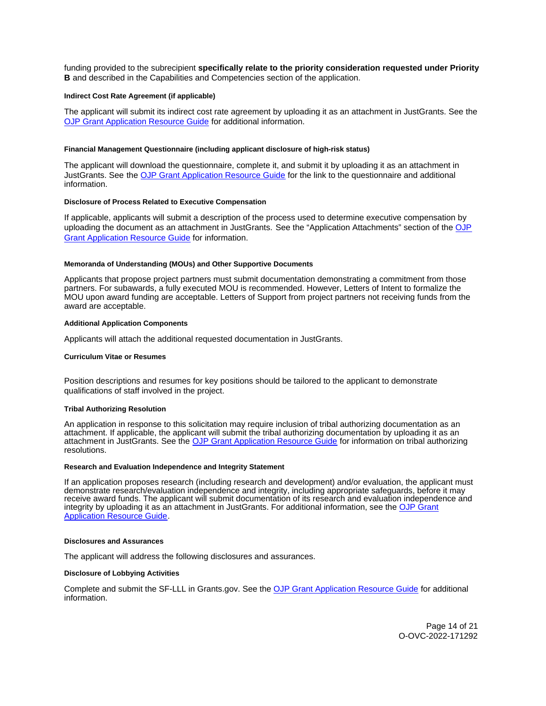<span id="page-13-0"></span>funding provided to the subrecipient **specifically relate to the priority consideration requested under Priority B** and described in the Capabilities and Competencies section of the application.

#### **Indirect Cost Rate Agreement (if applicable)**

The applicant will submit its indirect cost rate agreement by uploading it as an attachment in JustGrants. See the [OJP Grant Application Resource Guide](https://www.ojp.gov/funding/apply/ojp-grant-application-resource-guide#indirect-cost) for additional information.

#### **Financial Management Questionnaire (including applicant disclosure of high-risk status)**

The applicant will download the questionnaire, complete it, and submit it by uploading it as an attachment in JustGrants. See the [OJP Grant Application Resource Guide](https://www.ojp.gov/funding/apply/ojp-grant-application-resource-guide#fm-internal-controls-questionnaire) for the link to the questionnaire and additional information.

#### **Disclosure of Process Related to Executive Compensation**

If applicable, applicants will submit a description of the process used to determine executive compensation by uploading the document as an attachment in JustGrants. See the "Application Attachments" section of the [OJP](https://www.ojp.gov/funding/Apply/Resources/Grant-App-Resource-Guide.htm)  [Grant Application Resource Guide](https://www.ojp.gov/funding/Apply/Resources/Grant-App-Resource-Guide.htm) for information.

#### **Memoranda of Understanding (MOUs) and Other Supportive Documents**

Applicants that propose project partners must submit documentation demonstrating a commitment from those partners. For subawards, a fully executed MOU is recommended. However, Letters of Intent to formalize the MOU upon award funding are acceptable. Letters of Support from project partners not receiving funds from the award are acceptable.

#### **Additional Application Components**

Applicants will attach the additional requested documentation in JustGrants.

#### **Curriculum Vitae or Resumes**

Position descriptions and resumes for key positions should be tailored to the applicant to demonstrate qualifications of staff involved in the project.

#### **Tribal Authorizing Resolution**

An application in response to this solicitation may require inclusion of tribal authorizing documentation as an attachment. If applicable, the applicant will submit the tribal authorizing documentation by uploading it as an attachment in JustGrants. See the [OJP Grant Application Resource Guide](https://www.ojp.gov/funding/apply/ojp-grant-application-resource-guide#tribal-authorizing-resolution) for information on tribal authorizing resolutions.

#### **Research and Evaluation Independence and Integrity Statement**

If an application proposes research (including research and development) and/or evaluation, the applicant must demonstrate research/evaluation independence and integrity, including appropriate safeguards, before it may receive award funds. The applicant will submit documentation of its research and evaluation independence and integrity by uploading it as an attachment in JustGrants. For additional information, see the [OJP Grant](https://www.ojp.gov/funding/apply/ojp-grant-application-resource-guide#research-evaluation)  [Application Resource Guide.](https://www.ojp.gov/funding/apply/ojp-grant-application-resource-guide#research-evaluation)

#### **Disclosures and Assurances**

The applicant will address the following disclosures and assurances.

#### **Disclosure of Lobbying Activities**

Complete and submit the SF-LLL in [Grants.gov.](https://Grants.gov) See the [OJP Grant Application Resource Guide](https://www.ojp.gov/funding/apply/ojp-grant-application-resource-guide#disclosure-lobby) for additional information.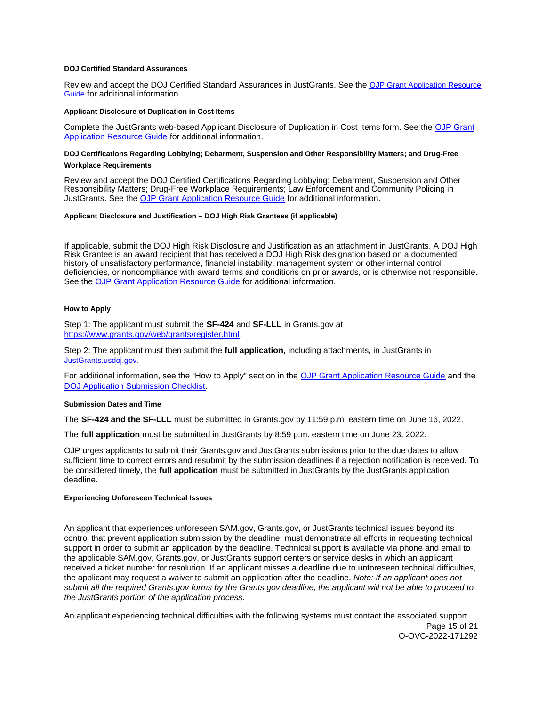#### <span id="page-14-0"></span>**DOJ Certified Standard Assurances**

Review and accept the DOJ Certified Standard Assurances in JustGrants. See the [OJP Grant Application Resource](https://www.ojp.gov/funding/apply/ojp-grant-application-resource-guide#administrative)  [Guide](https://www.ojp.gov/funding/apply/ojp-grant-application-resource-guide#administrative) for additional information.

#### **Applicant Disclosure of Duplication in Cost Items**

Complete the JustGrants web-based Applicant Disclosure of Duplication in Cost Items form. See the [OJP Grant](https://www.ojp.gov/funding/apply/ojp-grant-application-resource-guide#applicant-disclosure-pending-applications)  [Application Resource Guide](https://www.ojp.gov/funding/apply/ojp-grant-application-resource-guide#applicant-disclosure-pending-applications) for additional information.

## **DOJ Certifications Regarding Lobbying; Debarment, Suspension and Other Responsibility Matters; and Drug-Free Workplace Requirements**

Review and accept the DOJ Certified Certifications Regarding Lobbying; Debarment, Suspension and Other Responsibility Matters; Drug-Free Workplace Requirements; Law Enforcement and Community Policing in JustGrants. See the [OJP Grant Application Resource Guide](https://www.ojp.gov/funding/apply/ojp-grant-application-resource-guide#administrative) for additional information.

### **Applicant Disclosure and Justification – DOJ High Risk Grantees (if applicable)**

If applicable, submit the DOJ High Risk Disclosure and Justification as an attachment in JustGrants. A DOJ High Risk Grantee is an award recipient that has received a DOJ High Risk designation based on a documented history of unsatisfactory performance, financial instability, management system or other internal control deficiencies, or noncompliance with award terms and conditions on prior awards, or is otherwise not responsible. See the [OJP Grant Application Resource Guide](https://www.ojp.gov/funding/apply/ojp-grant-application-resource-guide#applicant-disclosure-justification) for additional information.

## **How to Apply**

Step 1: The applicant must submit the **SF-424** and **SF-LLL** in [Grants.gov](https://Grants.gov) at [https://www.grants.gov/web/grants/register.html.](https://www.grants.gov/web/grants/register.html)

Step 2: The applicant must then submit the **full application,** including attachments, in JustGrants in [JustGrants.usdoj.gov.](https://justicegrants.usdoj.gov/)

For additional information, see the "How to Apply" section in the [OJP Grant Application Resource Guide](https://www.ojp.gov/funding/apply/ojp-grant-application-resource-guide#apply) and the [DOJ Application Submission Checklist.](https://justicegrants.usdoj.gov/sites/g/files/xyckuh296/files/media/document/appln-submission-checklist.pdf)

#### **Submission Dates and Time**

The **SF-424 and the SF-LLL** must be submitted in [Grants.gov](https://Grants.gov) by 11:59 p.m. eastern time on June 16, 2022.

The **full application** must be submitted in JustGrants by 8:59 p.m. eastern time on June 23, 2022.

OJP urges applicants to submit their [Grants.gov](https://Grants.gov) and JustGrants submissions prior to the due dates to allow sufficient time to correct errors and resubmit by the submission deadlines if a rejection notification is received. To be considered timely, the **full application** must be submitted in JustGrants by the JustGrants application deadline.

#### **Experiencing Unforeseen Technical Issues**

An applicant that experiences unforeseen SAM.gov, [Grants.gov,](https://Grants.gov) or JustGrants technical issues beyond its control that prevent application submission by the deadline, must demonstrate all efforts in requesting technical support in order to submit an application by the deadline. Technical support is available via phone and email to the applicable SAM.gov, [Grants.gov,](https://Grants.gov) or JustGrants support centers or service desks in which an applicant received a ticket number for resolution. If an applicant misses a deadline due to unforeseen technical difficulties, the applicant may request a waiver to submit an application after the deadline. Note: If an applicant does not submit all the required [Grants.gov](https://Grants.gov) forms by the [Grants.gov](https://Grants.gov) deadline, the applicant will not be able to proceed to the JustGrants portion of the application process.

An applicant experiencing technical difficulties with the following systems must contact the associated support Page 15 of 21 O-OVC-2022-171292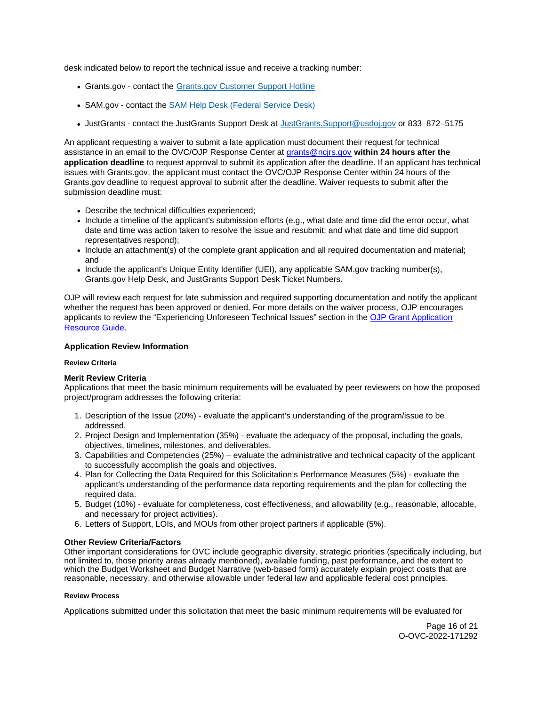<span id="page-15-0"></span>desk indicated below to report the technical issue and receive a tracking number:

- [Grants.gov](https://Grants.gov)  contact the [Grants.gov Customer Support Hotline](https://www.grants.gov/web/grants/support.html)
- SAM.gov contact the [SAM Help Desk \(Federal Service Desk\)](https://www.fsd.gov/gsafsd_sp)
- JustGrants contact the JustGrants Support Desk at [JustGrants.Support@usdoj.gov](mailto:JustGrants.Support@usdoj.gov) or 833–872–5175

An applicant requesting a waiver to submit a late application must document their request for technical assistance in an email to the OVC/OJP Response Center at [grants@ncjrs.gov](mailto:grants@ncjrs.gov) **within 24 hours after the application deadline** to request approval to submit its application after the deadline. If an applicant has technical issues with [Grants.gov,](https://Grants.gov) the applicant must contact the OVC/OJP Response Center within 24 hours of the [Grants.gov](https://Grants.gov) deadline to request approval to submit after the deadline. Waiver requests to submit after the submission deadline must:

- Describe the technical difficulties experienced;
- Include a timeline of the applicant's submission efforts (e.g., what date and time did the error occur, what date and time was action taken to resolve the issue and resubmit; and what date and time did support representatives respond);
- Include an attachment(s) of the complete grant application and all required documentation and material; and
- Include the applicant's Unique Entity Identifier (UEI), any applicable SAM.gov tracking number(s), [Grants.gov](https://Grants.gov) Help Desk, and JustGrants Support Desk Ticket Numbers.

OJP will review each request for late submission and required supporting documentation and notify the applicant whether the request has been approved or denied. For more details on the waiver process, OJP encourages applicants to review the "Experiencing Unforeseen Technical Issues" section in the [OJP Grant Application](https://www.ojp.gov/funding/apply/ojp-grant-application-resource-guide#experiencing-unforeseen-technical-issues)  [Resource Guide.](https://www.ojp.gov/funding/apply/ojp-grant-application-resource-guide#experiencing-unforeseen-technical-issues)

## **Application Review Information**

#### **Review Criteria**

## **Merit Review Criteria**

Applications that meet the basic minimum requirements will be evaluated by peer reviewers on how the proposed project/program addresses the following criteria:

- 1. Description of the Issue (20%) evaluate the applicant's understanding of the program/issue to be addressed.
- 2. Project Design and Implementation (35%) evaluate the adequacy of the proposal, including the goals, objectives, timelines, milestones, and deliverables.
- 3. Capabilities and Competencies (25%) evaluate the administrative and technical capacity of the applicant to successfully accomplish the goals and objectives.
- 4. Plan for Collecting the Data Required for this Solicitation's Performance Measures (5%) evaluate the applicant's understanding of the performance data reporting requirements and the plan for collecting the required data.
- 5. Budget (10%) evaluate for completeness, cost effectiveness, and allowability (e.g., reasonable, allocable, and necessary for project activities).
- 6. Letters of Support, LOIs, and MOUs from other project partners if applicable (5%).

#### **Other Review Criteria/Factors**

Other important considerations for OVC include geographic diversity, strategic priorities (specifically including, but not limited to, those priority areas already mentioned), available funding, past performance, and the extent to which the Budget Worksheet and Budget Narrative (web-based form) accurately explain project costs that are reasonable, necessary, and otherwise allowable under federal law and applicable federal cost principles.

#### **Review Process**

Applications submitted under this solicitation that meet the basic minimum requirements will be evaluated for

Page 16 of 21 O-OVC-2022-171292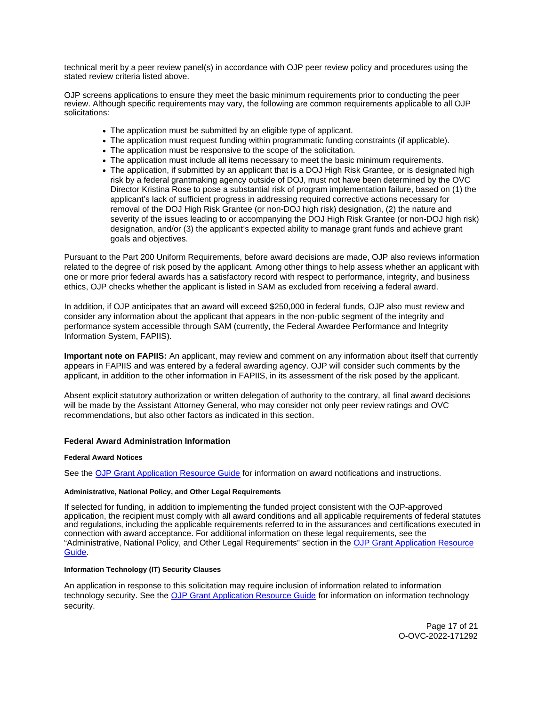<span id="page-16-0"></span>technical merit by a peer review panel(s) in accordance with OJP peer review policy and procedures using the stated review criteria listed above.

OJP screens applications to ensure they meet the basic minimum requirements prior to conducting the peer review. Although specific requirements may vary, the following are common requirements applicable to all OJP solicitations:

- The application must be submitted by an eligible type of applicant.
- The application must request funding within programmatic funding constraints (if applicable).
- The application must be responsive to the scope of the solicitation.
- The application must include all items necessary to meet the basic minimum requirements.
- The application, if submitted by an applicant that is a DOJ High Risk Grantee, or is designated high risk by a federal grantmaking agency outside of DOJ, must not have been determined by the OVC Director Kristina Rose to pose a substantial risk of program implementation failure, based on (1) the applicant's lack of sufficient progress in addressing required corrective actions necessary for removal of the DOJ High Risk Grantee (or non-DOJ high risk) designation, (2) the nature and severity of the issues leading to or accompanying the DOJ High Risk Grantee (or non-DOJ high risk) designation, and/or (3) the applicant's expected ability to manage grant funds and achieve grant goals and objectives.

Pursuant to the Part 200 Uniform Requirements, before award decisions are made, OJP also reviews information related to the degree of risk posed by the applicant. Among other things to help assess whether an applicant with one or more prior federal awards has a satisfactory record with respect to performance, integrity, and business ethics, OJP checks whether the applicant is listed in SAM as excluded from receiving a federal award.

In addition, if OJP anticipates that an award will exceed \$250,000 in federal funds, OJP also must review and consider any information about the applicant that appears in the non-public segment of the integrity and performance system accessible through SAM (currently, the Federal Awardee Performance and Integrity Information System, FAPIIS).

**Important note on FAPIIS:** An applicant, may review and comment on any information about itself that currently appears in FAPIIS and was entered by a federal awarding agency. OJP will consider such comments by the applicant, in addition to the other information in FAPIIS, in its assessment of the risk posed by the applicant.

Absent explicit statutory authorization or written delegation of authority to the contrary, all final award decisions will be made by the Assistant Attorney General, who may consider not only peer review ratings and OVC recommendations, but also other factors as indicated in this section.

## **Federal Award Administration Information**

## **Federal Award Notices**

See the [OJP Grant Application Resource Guide](https://www.ojp.gov/funding/apply/ojp-grant-application-resource-guide#federal-award-notices) for information on award notifications and instructions.

#### **Administrative, National Policy, and Other Legal Requirements**

If selected for funding, in addition to implementing the funded project consistent with the OJP-approved application, the recipient must comply with all award conditions and all applicable requirements of federal statutes and regulations, including the applicable requirements referred to in the assurances and certifications executed in connection with award acceptance. For additional information on these legal requirements, see the "Administrative, National Policy, and Other Legal Requirements" section in the [OJP Grant Application Resource](https://www.ojp.gov/funding/apply/ojp-grant-application-resource-guide#administrative)  [Guide.](https://www.ojp.gov/funding/apply/ojp-grant-application-resource-guide#administrative)

## **Information Technology (IT) Security Clauses**

An application in response to this solicitation may require inclusion of information related to information technology security. See the [OJP Grant Application Resource Guide](https://www.ojp.gov/funding/apply/ojp-grant-application-resource-guide#information-technology) for information on information technology security.

> Page 17 of 21 O-OVC-2022-171292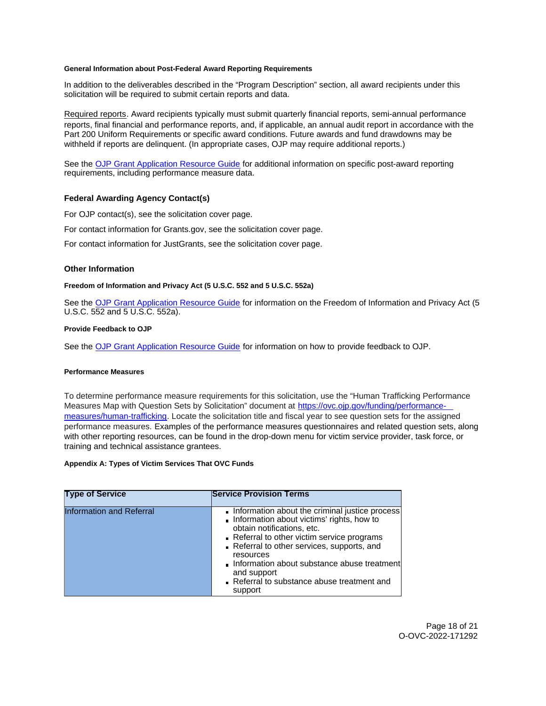#### <span id="page-17-0"></span>**General Information about Post-Federal Award Reporting Requirements**

In addition to the deliverables described in the "Program Description" section, all award recipients under this solicitation will be required to submit certain reports and data.

Required reports. Award recipients typically must submit quarterly financial reports, semi-annual performance reports, final financial and performance reports, and, if applicable, an annual audit report in accordance with the Part 200 Uniform Requirements or specific award conditions. Future awards and fund drawdowns may be withheld if reports are delinquent. (In appropriate cases, OJP may require additional reports.)

See the [OJP Grant Application Resource Guide](https://www.ojp.gov/funding/Apply/Resources/Grant-App-Resource-Guide.htm) for additional information on specific post-award reporting requirements, including performance measure data.

#### **Federal Awarding Agency Contact(s)**

For OJP contact(s), see the solicitation cover page.

For contact information for [Grants.gov](https://Grants.gov), see the solicitation cover page.

For contact information for JustGrants, see the solicitation cover page.

## **Other Information**

#### **Freedom of Information and Privacy Act (5 U.S.C. 552 and 5 U.S.C. 552a)**

See the [OJP Grant Application Resource Guide](https://www.ojp.gov/funding/apply/ojp-grant-application-resource-guide#foia) for information on the Freedom of Information and Privacy Act (5 U.S.C. 552 and 5 U.S.C. 552a).

## **Provide Feedback to OJP**

See the [OJP Grant Application Resource Guide](https://www.ojp.gov/funding/apply/ojp-grant-application-resource-guide#feedback) for information on how to provide feedback to OJP.

#### **Performance Measures**

To determine performance measure requirements for this solicitation, use the "Human Trafficking Performance Measures Map with Question Sets by Solicitation" document at [https://ovc.ojp.gov/funding/performance](https://ovc.ojp.gov/funding/performance-measures/human-trafficking)[measures/human-trafficking.](https://ovc.ojp.gov/funding/performance-measures/human-trafficking) Locate the solicitation title and fiscal year to see question sets for the assigned performance measures. Examples of the performance measures questionnaires and related question sets, along with other reporting resources, can be found in the drop-down menu for victim service provider, task force, or training and technical assistance grantees.

#### **Appendix A: Types of Victim Services That OVC Funds**

| <b>Type of Service</b>          | <b>Service Provision Terms</b>                                                                                                                                                                                                                                                                                                                         |
|---------------------------------|--------------------------------------------------------------------------------------------------------------------------------------------------------------------------------------------------------------------------------------------------------------------------------------------------------------------------------------------------------|
| <b>Information and Referral</b> | Information about the criminal justice process<br>Information about victims' rights, how to<br>obtain notifications, etc.<br>Referral to other victim service programs<br>Referral to other services, supports, and<br>resources<br>Information about substance abuse treatment<br>and support<br>Referral to substance abuse treatment and<br>support |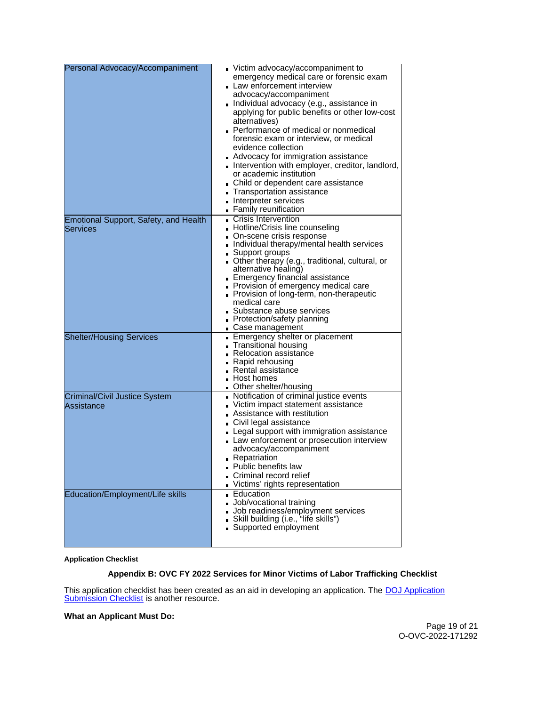<span id="page-18-0"></span>

| Personal Advocacy/Accompaniment                          | Victim advocacy/accompaniment to<br>emergency medical care or forensic exam<br>Law enforcement interview<br>advocacy/accompaniment<br>■ Individual advocacy (e.g., assistance in<br>applying for public benefits or other low-cost<br>alternatives)<br>Performance of medical or nonmedical<br>forensic exam or interview, or medical<br>evidence collection<br>Advocacy for immigration assistance<br>Intervention with employer, creditor, landlord,<br>or academic institution<br>Child or dependent care assistance<br>Transportation assistance<br>Interpreter services<br>• Family reunification |
|----------------------------------------------------------|--------------------------------------------------------------------------------------------------------------------------------------------------------------------------------------------------------------------------------------------------------------------------------------------------------------------------------------------------------------------------------------------------------------------------------------------------------------------------------------------------------------------------------------------------------------------------------------------------------|
| <b>Emotional Support, Safety, and Health</b><br>Services | Crisis Intervention<br>■ Hotline/Crisis line counseling<br>■ On-scene crisis response<br>Individual therapy/mental health services<br>■ Support groups<br>■ Other therapy (e.g., traditional, cultural, or<br>alternative healing)<br>Emergency financial assistance<br>Provision of emergency medical care<br>Provision of long-term, non-therapeutic<br>medical care<br>Substance abuse services<br>Protection/safety planning<br>■ Case management                                                                                                                                                  |
| <b>Shelter/Housing Services</b>                          | Emergency shelter or placement<br>■ Transitional housing<br>Relocation assistance<br>■ Rapid rehousing<br>■ Rental assistance<br>$\blacksquare$ Host homes<br>Other shelter/housing                                                                                                                                                                                                                                                                                                                                                                                                                    |
| <b>Criminal/Civil Justice System</b><br>Assistance       | Notification of criminal justice events<br>Victim impact statement assistance<br>Assistance with restitution<br>■ Civil legal assistance<br>Legal support with immigration assistance<br>Law enforcement or prosecution interview<br>advocacy/accompaniment<br><b>Repatriation</b><br><b>Public benefits law</b><br>Criminal record relief<br>Victims' rights representation                                                                                                                                                                                                                           |
| Education/Employment/Life skills                         | ■ Education<br>Job/vocational training<br>Job readiness/employment services<br>Skill building (i.e., "life skills")<br>Supported employment                                                                                                                                                                                                                                                                                                                                                                                                                                                            |

## **Application Checklist**

## **Appendix B: OVC FY 2022 Services for Minor Victims of Labor Trafficking Checklist**

This application checklist has been created as an aid in developing an application. The DOJ Application [Submission Checklist](https://justicegrants.usdoj.gov/sites/g/files/xyckuh296/files/media/document/appln-submission-checklist.pdf) is another resource.

## **What an Applicant Must Do:**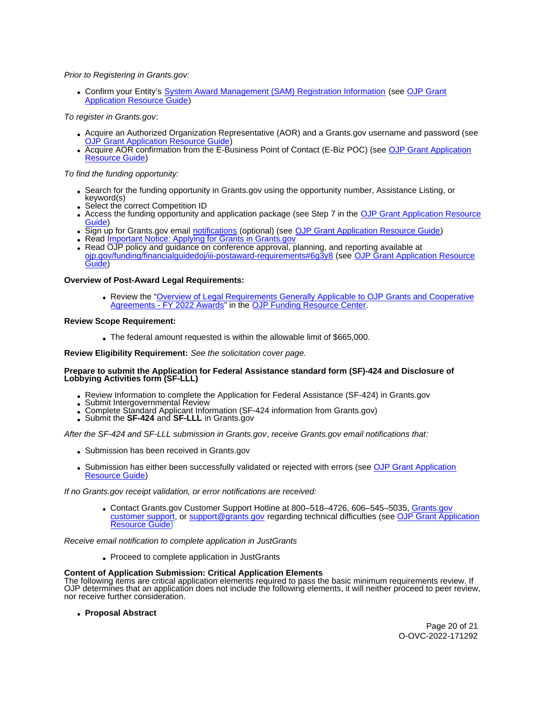## Prior to Registering in [Grants.gov:](https://Grants.gov)

Confirm your Entity's [System Award Management \(SAM\)](https://sam.gov/SAM/) Registration Information (see [OJP Grant](https://www.ojp.gov/funding/apply/ojp-grant-application-resource-guide#apply)  [Application Resource Guide\)](https://www.ojp.gov/funding/apply/ojp-grant-application-resource-guide#apply)

To register in [Grants.gov](https://Grants.gov):

- Acquire an Authorized Organization Representative (AOR) and a [Grants.gov](https://Grants.gov) username and password (see [OJP Grant Application Resource Guide\)](https://www.ojp.gov/funding/apply/ojp-grant-application-resource-guide#apply)
- Acquire AOR confirmation from the E-Business Point of Contact (E-Biz POC) (see OJP Grant Application [Resource Guide\)](https://www.ojp.gov/funding/apply/ojp-grant-application-resource-guide#apply)

To find the funding opportunity:

- Search for the funding opportunity in [Grants.gov](https://Grants.gov) using the opportunity number, Assistance Listing, or keyword(s)
- Select the correct Competition ID
- Access the funding opportunity and application package (see Step 7 in the [OJP Grant Application Resource](https://www.ojp.gov/funding/apply/ojp-grant-application-resource-guide#apply)  [Guide\)](https://www.ojp.gov/funding/apply/ojp-grant-application-resource-guide#apply)
- Sign up for [Grants.gov](https://Grants.gov) email [notifications](https://www.grants.gov/web/grants/manage-subscriptions.html) (optional) (see [OJP Grant Application Resource Guide\)](https://ojp.gov/funding/Apply/Resources/Grant-App-Resource-Guide.htm)
- Read *Important Notice: Applying for Grants in Grants.gov*
- Read OJP policy and guidance on conference approval, planning, and reporting available at [ojp.gov/funding/financialguidedoj/iii-postaward-requirements#6g3y8](https://www.ojp.gov/funding/financialguidedoj/iii-postaward-requirements#6g3y8) (see [OJP Grant Application Resource](https://ojp.gov/funding/Apply/Resources/Grant-App-Resource-Guide.htm)  [Guide\)](https://ojp.gov/funding/Apply/Resources/Grant-App-Resource-Guide.htm)

## **Overview of Post-Award Legal Requirements:**

Review the "[Overview of Legal Requirements Generally Applicable to OJP Grants and Cooperative](https://www.ojp.gov/funding/explore/legal-overview-awards)  [Agreements - FY 2022 Awards"](https://www.ojp.gov/funding/explore/legal-overview-awards) in the [OJP Funding Resource Center.](https://www.ojp.gov/funding/index.htm)

#### **Review Scope Requirement:**

The federal amount requested is within the allowable limit of \$665,000.

**Review Eligibility Requirement:** See the solicitation cover page.

#### **Prepare to submit the Application for Federal Assistance standard form (SF)-424 and Disclosure of Lobbying Activities form (SF-LLL)**

- 
- 
- Review Information to complete the Application for Federal Assistance (SF-424) in [Grants.gov](https://Grants.gov)<br>• Submit Intergovernmental Review<br>• Complete Standard Applicant Information (SF-424 information from Grants.gov)<br>• Submit the S
- 

After the SF-424 and SF-LLL submission in [Grants.gov](https://Grants.gov), receive [Grants.gov](https://Grants.gov) email notifications that:

- Submission has been received in [Grants.gov](https://Grants.gov)
- Submission has either been successfully validated or rejected with errors (see OJP Grant Application [Resource Guide\)](https://www.ojp.gov/funding/apply/ojp-grant-application-resource-guide#apply)

If no [Grants.gov](https://Grants.gov) receipt validation, or error notifications are received:

Contact [Grants.gov](https://Grants.gov) Customer Support Hotline at 800–518–4726, 606–545–5035, [Grants.gov](https://www.grants.gov/web/grants/support.html)  [customer support,](https://www.grants.gov/web/grants/support.html) or [support@grants.gov](mailto:support@grants.gov) regarding technical difficulties (see [OJP Grant Application](https://ojp.gov/funding/Apply/Resources/Grant-App-Resource-Guide.htm)  [Resource Guide\)](https://ojp.gov/funding/Apply/Resources/Grant-App-Resource-Guide.htm)

Receive email notification to complete application in JustGrants

• Proceed to complete application in JustGrants

## **Content of Application Submission: Critical Application Elements**

The following items are critical application elements required to pass the basic minimum requirements review. If OJP determines that an application does not include the following elements, it will neither proceed to peer review, nor receive further consideration.

**Proposal Abstract** 

Page 20 of 21 O-OVC-2022-171292